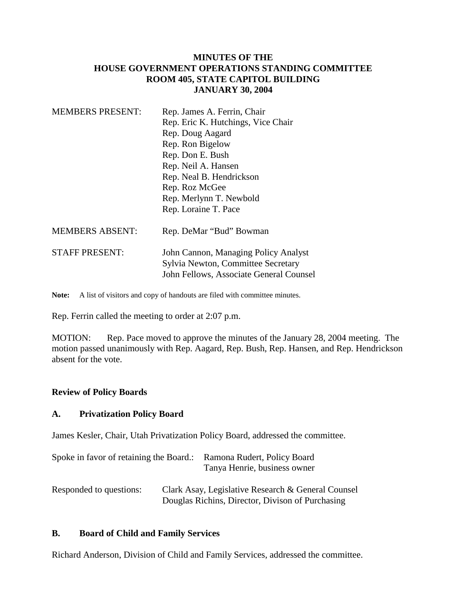# **MINUTES OF THE HOUSE GOVERNMENT OPERATIONS STANDING COMMITTEE ROOM 405, STATE CAPITOL BUILDING JANUARY 30, 2004**

| <b>MEMBERS PRESENT:</b> | Rep. James A. Ferrin, Chair                                                                                           |  |
|-------------------------|-----------------------------------------------------------------------------------------------------------------------|--|
|                         | Rep. Eric K. Hutchings, Vice Chair                                                                                    |  |
|                         | Rep. Doug Aagard                                                                                                      |  |
|                         | Rep. Ron Bigelow                                                                                                      |  |
|                         | Rep. Don E. Bush                                                                                                      |  |
|                         | Rep. Neil A. Hansen                                                                                                   |  |
|                         | Rep. Neal B. Hendrickson                                                                                              |  |
|                         | Rep. Roz McGee                                                                                                        |  |
|                         | Rep. Merlynn T. Newbold                                                                                               |  |
|                         | Rep. Loraine T. Pace                                                                                                  |  |
| <b>MEMBERS ABSENT:</b>  | Rep. DeMar "Bud" Bowman                                                                                               |  |
| <b>STAFF PRESENT:</b>   | John Cannon, Managing Policy Analyst<br>Sylvia Newton, Committee Secretary<br>John Fellows, Associate General Counsel |  |

Note: A list of visitors and copy of handouts are filed with committee minutes.

Rep. Ferrin called the meeting to order at 2:07 p.m.

MOTION: Rep. Pace moved to approve the minutes of the January 28, 2004 meeting. The motion passed unanimously with Rep. Aagard, Rep. Bush, Rep. Hansen, and Rep. Hendrickson absent for the vote.

### **Review of Policy Boards**

### **A. Privatization Policy Board**

James Kesler, Chair, Utah Privatization Policy Board, addressed the committee.

| Spoke in favor of retaining the Board.: | Ramona Rudert, Policy Board<br>Tanya Henrie, business owner                                            |
|-----------------------------------------|--------------------------------------------------------------------------------------------------------|
| Responded to questions:                 | Clark Asay, Legislative Research & General Counsel<br>Douglas Richins, Director, Divison of Purchasing |

### **B. Board of Child and Family Services**

Richard Anderson, Division of Child and Family Services, addressed the committee.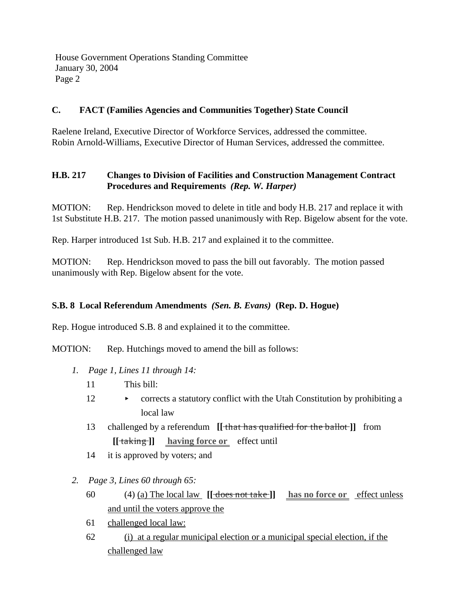House Government Operations Standing Committee January 30, 2004 Page 2

### **C. FACT (Families Agencies and Communities Together) State Council**

Raelene Ireland, Executive Director of Workforce Services, addressed the committee. Robin Arnold-Williams, Executive Director of Human Services, addressed the committee.

# **H.B. 217 Changes to Division of Facilities and Construction Management Contract Procedures and Requirements** *(Rep. W. Harper)*

MOTION: Rep. Hendrickson moved to delete in title and body H.B. 217 and replace it with 1st Substitute H.B. 217. The motion passed unanimously with Rep. Bigelow absent for the vote.

Rep. Harper introduced 1st Sub. H.B. 217 and explained it to the committee.

MOTION: Rep. Hendrickson moved to pass the bill out favorably. The motion passed unanimously with Rep. Bigelow absent for the vote.

### **S.B. 8 Local Referendum Amendments** *(Sen. B. Evans)* **(Rep. D. Hogue)**

Rep. Hogue introduced S.B. 8 and explained it to the committee.

MOTION: Rep. Hutchings moved to amend the bill as follows:

- *1. Page 1, Lines 11 through 14:*
	- 11 This bill:
	- 12 corrects a statutory conflict with the Utah Constitution by prohibiting a local law
	- 13 challenged by a referendum **[[** that has qualified for the ballot **]]** from **[[** taking **]] having force or** effect until
	- 14 it is approved by voters; and
- *2. Page 3, Lines 60 through 65:*
	- 60 (4) (a) The local law **[[** does not take **]] has no force or** effect unless and until the voters approve the
	- 61 challenged local law:
	- 62 (i) at a regular municipal election or a municipal special election, if the challenged law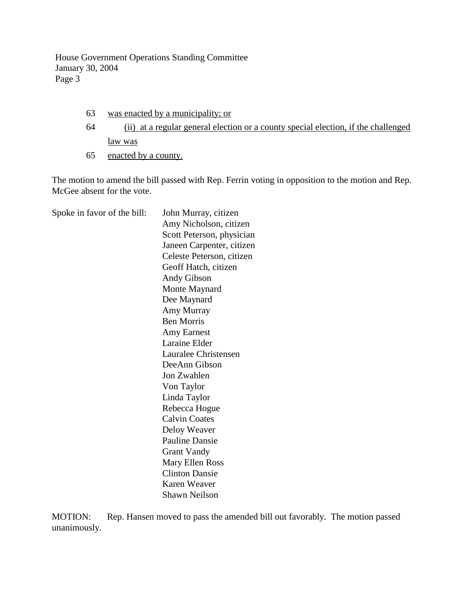House Government Operations Standing Committee January 30, 2004 Page 3

- 63 was enacted by a municipality; or
- 64 (ii) at a regular general election or a county special election, if the challenged law was
- 65 enacted by a county.

The motion to amend the bill passed with Rep. Ferrin voting in opposition to the motion and Rep. McGee absent for the vote.

Spoke in favor of the bill: John Murray, citizen Amy Nicholson, citizen Scott Peterson, physician Janeen Carpenter, citizen Celeste Peterson, citizen Geoff Hatch, citizen Andy Gibson Monte Maynard Dee Maynard Amy Murray Ben Morris Amy Earnest Laraine Elder Lauralee Christensen DeeAnn Gibson Jon Zwahlen Von Taylor Linda Taylor Rebecca Hogue Calvin Coates Deloy Weaver Pauline Dansie Grant Vandy Mary Ellen Ross Clinton Dansie Karen Weaver Shawn Neilson

MOTION: Rep. Hansen moved to pass the amended bill out favorably. The motion passed unanimously.